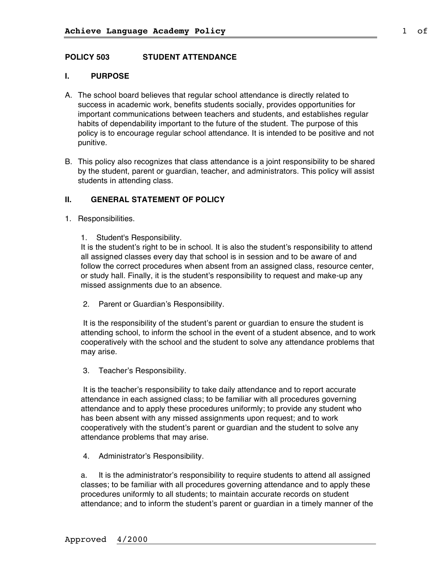## **POLICY 503 STUDENT ATTENDANCE**

## **I. PURPOSE**

- A. The school board believes that regular school attendance is directly related to success in academic work, benefits students socially, provides opportunities for important communications between teachers and students, and establishes regular habits of dependability important to the future of the student. The purpose of this policy is to encourage regular school attendance. It is intended to be positive and not punitive.
- B. This policy also recognizes that class attendance is a joint responsibility to be shared by the student, parent or guardian, teacher, and administrators. This policy will assist students in attending class.

## **II. GENERAL STATEMENT OF POLICY**

- 1. Responsibilities.
	- 1. Student's Responsibility.

It is the student's right to be in school. It is also the student's responsibility to attend all assigned classes every day that school is in session and to be aware of and follow the correct procedures when absent from an assigned class, resource center, or study hall. Finally, it is the student's responsibility to request and make-up any missed assignments due to an absence.

2. Parent or Guardian's Responsibility.

It is the responsibility of the student's parent or guardian to ensure the student is attending school, to inform the school in the event of a student absence, and to work cooperatively with the school and the student to solve any attendance problems that may arise.

3. Teacher's Responsibility.

It is the teacher's responsibility to take daily attendance and to report accurate attendance in each assigned class; to be familiar with all procedures governing attendance and to apply these procedures uniformly; to provide any student who has been absent with any missed assignments upon request; and to work cooperatively with the student's parent or guardian and the student to solve any attendance problems that may arise.

4. Administrator's Responsibility.

a. It is the administrator's responsibility to require students to attend all assigned classes; to be familiar with all procedures governing attendance and to apply these procedures uniformly to all students; to maintain accurate records on student attendance; and to inform the student's parent or guardian in a timely manner of the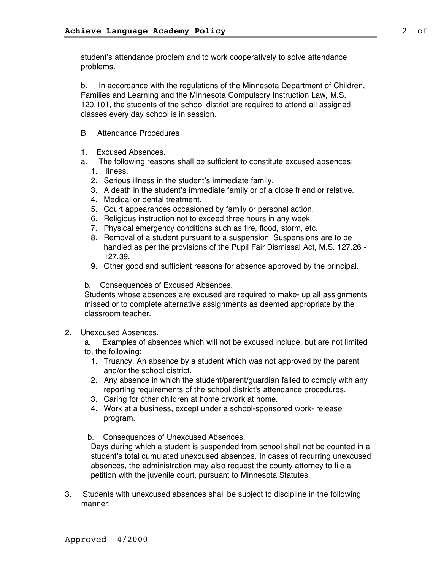student's attendance problem and to work cooperatively to solve attendance problems.

b. In accordance with the regulations of the Minnesota Department of Children, Families and Learning and the Minnesota Compulsory Instruction Law, M.S. 120.101, the students of the school district are required to attend all assigned classes every day school is in session.

- B. Attendance Procedures
- 1. Excused Absences.
- a. The following reasons shall be sufficient to constitute excused absences:
	- 1. Illness.
	- 2. Serious illness in the student's immediate family.
	- 3. A death in the student's immediate family or of a close friend or relative.
	- 4. Medical or dental treatment.
	- 5. Court appearances occasioned by family or personal action.
	- 6. Religious instruction not to exceed three hours in any week.
	- 7. Physical emergency conditions such as fire, flood, storm, etc.
	- 8. Removal of a student pursuant to a suspension. Suspensions are to be handled as per the provisions of the Pupil Fair Dismissal Act, M.S. 127.26 - 127.39.
	- 9. Other good and sufficient reasons for absence approved by the principal.
- b. Consequences of Excused Absences.

Students whose absences are excused are required to make- up all assignments missed or to complete alternative assignments as deemed appropriate by the classroom teacher.

2. Unexcused Absences.

a. Examples of absences which will not be excused include, but are not limited to, the following:

- 1. Truancy. An absence by a student which was not approved by the parent and/or the school district.
- 2. Any absence in which the student/parent/guardian failed to comply with any reporting requirements of the school district's attendance procedures.
- 3. Caring for other children at home orwork at home.
- 4. Work at a business, except under a school-sponsored work- release program.
- b. Consequences of Unexcused Absences.

Days during which a student is suspended from school shall not be counted in a student's total cumulated unexcused absences. In cases of recurring unexcused absences, the administration may also request the county attorney to file a petition with the juvenile court, pursuant to Minnesota Statutes.

3. Students with unexcused absences shall be subject to discipline in the following manner: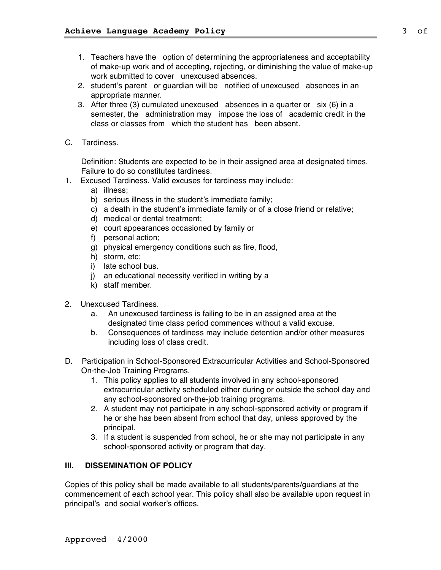- 1. Teachers have the option of determining the appropriateness and acceptability of make-up work and of accepting, rejecting, or diminishing the value of make-up work submitted to cover unexcused absences.
- 2. student's parent or guardian will be notified of unexcused absences in an appropriate manner.
- 3. After three (3) cumulated unexcused absences in a quarter or six (6) in a semester, the administration may impose the loss of academic credit in the class or classes from which the student has been absent.
- C. Tardiness.

Definition: Students are expected to be in their assigned area at designated times. Failure to do so constitutes tardiness.

- 1. Excused Tardiness. Valid excuses for tardiness may include:
	- a) illness;
	- b) serious illness in the student's immediate family;
	- c) a death in the student's immediate family or of a close friend or relative;
	- d) medical or dental treatment;
	- e) court appearances occasioned by family or
	- f) personal action;
	- g) physical emergency conditions such as fire, flood,
	- h) storm, etc;
	- i) late school bus.
	- j) an educational necessity verified in writing by a
	- k) staff member.
- 2. Unexcused Tardiness.
	- a. An unexcused tardiness is failing to be in an assigned area at the designated time class period commences without a valid excuse.
	- b. Consequences of tardiness may include detention and/or other measures including loss of class credit.
- D. Participation in School-Sponsored Extracurricular Activities and School-Sponsored On-the-Job Training Programs.
	- 1. This policy applies to all students involved in any school-sponsored extracurricular activity scheduled either during or outside the school day and any school-sponsored on-the-job training programs.
	- 2. A student may not participate in any school-sponsored activity or program if he or she has been absent from school that day, unless approved by the principal.
	- 3. If a student is suspended from school, he or she may not participate in any school-sponsored activity or program that day.

#### **III. DISSEMINATION OF POLICY**

Copies of this policy shall be made available to all students/parents/guardians at the commencement of each school year. This policy shall also be available upon request in principal's and social worker's offices.